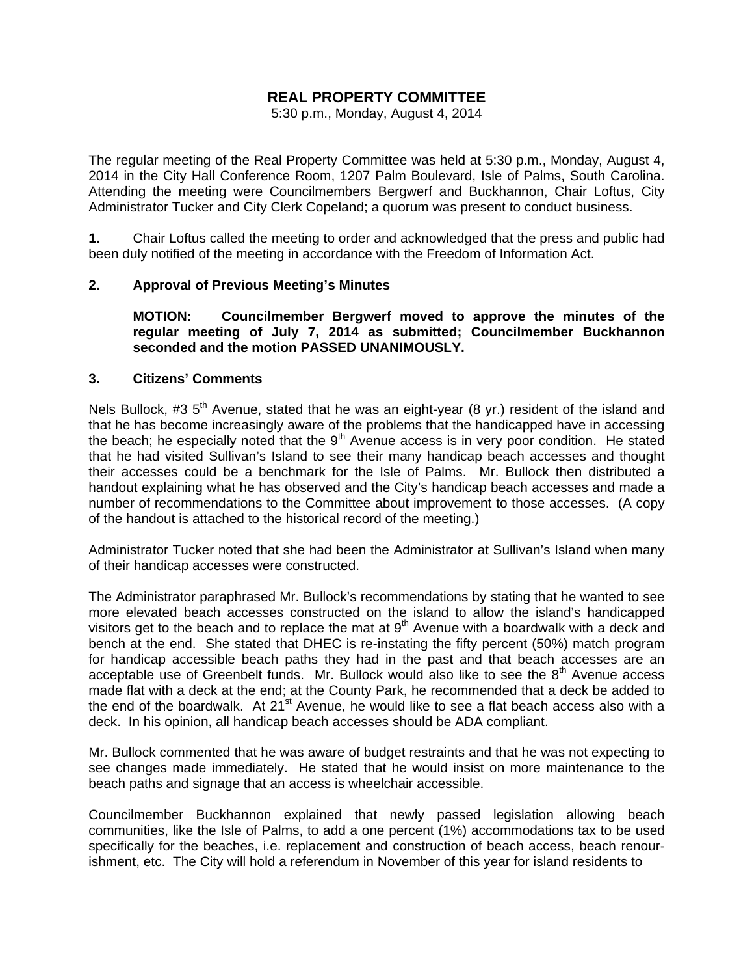# **REAL PROPERTY COMMITTEE**

5:30 p.m., Monday, August 4, 2014

The regular meeting of the Real Property Committee was held at 5:30 p.m., Monday, August 4, 2014 in the City Hall Conference Room, 1207 Palm Boulevard, Isle of Palms, South Carolina. Attending the meeting were Councilmembers Bergwerf and Buckhannon, Chair Loftus, City Administrator Tucker and City Clerk Copeland; a quorum was present to conduct business.

**1.** Chair Loftus called the meeting to order and acknowledged that the press and public had been duly notified of the meeting in accordance with the Freedom of Information Act.

### **2. Approval of Previous Meeting's Minutes**

 **MOTION: Councilmember Bergwerf moved to approve the minutes of the regular meeting of July 7, 2014 as submitted; Councilmember Buckhannon seconded and the motion PASSED UNANIMOUSLY.** 

#### **3. Citizens' Comments**

Nels Bullock, #3  $5<sup>th</sup>$  Avenue, stated that he was an eight-year (8 yr.) resident of the island and that he has become increasingly aware of the problems that the handicapped have in accessing the beach; he especially noted that the  $9<sup>th</sup>$  Avenue access is in very poor condition. He stated that he had visited Sullivan's Island to see their many handicap beach accesses and thought their accesses could be a benchmark for the Isle of Palms. Mr. Bullock then distributed a handout explaining what he has observed and the City's handicap beach accesses and made a number of recommendations to the Committee about improvement to those accesses. (A copy of the handout is attached to the historical record of the meeting.)

Administrator Tucker noted that she had been the Administrator at Sullivan's Island when many of their handicap accesses were constructed.

The Administrator paraphrased Mr. Bullock's recommendations by stating that he wanted to see more elevated beach accesses constructed on the island to allow the island's handicapped visitors get to the beach and to replace the mat at  $9<sup>th</sup>$  Avenue with a boardwalk with a deck and bench at the end. She stated that DHEC is re-instating the fifty percent (50%) match program for handicap accessible beach paths they had in the past and that beach accesses are an acceptable use of Greenbelt funds. Mr. Bullock would also like to see the  $8<sup>th</sup>$  Avenue access made flat with a deck at the end; at the County Park, he recommended that a deck be added to the end of the boardwalk. At 21<sup>st</sup> Avenue, he would like to see a flat beach access also with a deck. In his opinion, all handicap beach accesses should be ADA compliant.

Mr. Bullock commented that he was aware of budget restraints and that he was not expecting to see changes made immediately. He stated that he would insist on more maintenance to the beach paths and signage that an access is wheelchair accessible.

Councilmember Buckhannon explained that newly passed legislation allowing beach communities, like the Isle of Palms, to add a one percent (1%) accommodations tax to be used specifically for the beaches, i.e. replacement and construction of beach access, beach renourishment, etc. The City will hold a referendum in November of this year for island residents to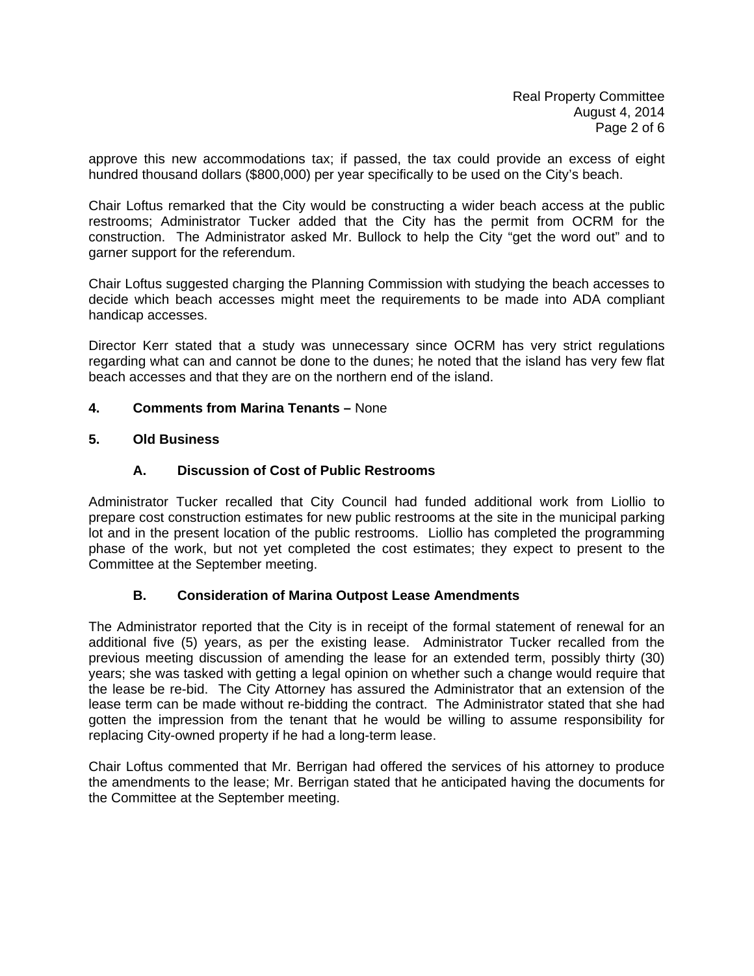approve this new accommodations tax; if passed, the tax could provide an excess of eight hundred thousand dollars (\$800,000) per year specifically to be used on the City's beach.

Chair Loftus remarked that the City would be constructing a wider beach access at the public restrooms; Administrator Tucker added that the City has the permit from OCRM for the construction. The Administrator asked Mr. Bullock to help the City "get the word out" and to garner support for the referendum.

Chair Loftus suggested charging the Planning Commission with studying the beach accesses to decide which beach accesses might meet the requirements to be made into ADA compliant handicap accesses.

Director Kerr stated that a study was unnecessary since OCRM has very strict regulations regarding what can and cannot be done to the dunes; he noted that the island has very few flat beach accesses and that they are on the northern end of the island.

#### **4. Comments from Marina Tenants –** None

#### **5. Old Business**

### **A. Discussion of Cost of Public Restrooms**

Administrator Tucker recalled that City Council had funded additional work from Liollio to prepare cost construction estimates for new public restrooms at the site in the municipal parking lot and in the present location of the public restrooms. Liollio has completed the programming phase of the work, but not yet completed the cost estimates; they expect to present to the Committee at the September meeting.

### **B. Consideration of Marina Outpost Lease Amendments**

The Administrator reported that the City is in receipt of the formal statement of renewal for an additional five (5) years, as per the existing lease. Administrator Tucker recalled from the previous meeting discussion of amending the lease for an extended term, possibly thirty (30) years; she was tasked with getting a legal opinion on whether such a change would require that the lease be re-bid. The City Attorney has assured the Administrator that an extension of the lease term can be made without re-bidding the contract. The Administrator stated that she had gotten the impression from the tenant that he would be willing to assume responsibility for replacing City-owned property if he had a long-term lease.

Chair Loftus commented that Mr. Berrigan had offered the services of his attorney to produce the amendments to the lease; Mr. Berrigan stated that he anticipated having the documents for the Committee at the September meeting.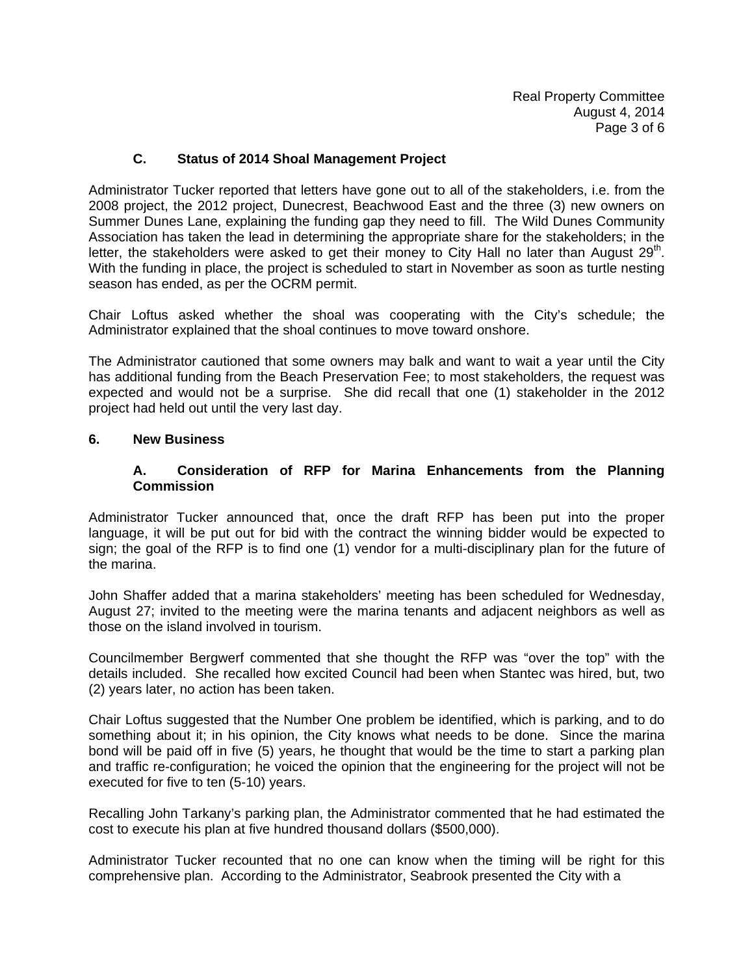## **C. Status of 2014 Shoal Management Project**

Administrator Tucker reported that letters have gone out to all of the stakeholders, i.e. from the 2008 project, the 2012 project, Dunecrest, Beachwood East and the three (3) new owners on Summer Dunes Lane, explaining the funding gap they need to fill. The Wild Dunes Community Association has taken the lead in determining the appropriate share for the stakeholders; in the letter, the stakeholders were asked to get their money to City Hall no later than August  $29<sup>th</sup>$ . With the funding in place, the project is scheduled to start in November as soon as turtle nesting season has ended, as per the OCRM permit.

Chair Loftus asked whether the shoal was cooperating with the City's schedule; the Administrator explained that the shoal continues to move toward onshore.

The Administrator cautioned that some owners may balk and want to wait a year until the City has additional funding from the Beach Preservation Fee; to most stakeholders, the request was expected and would not be a surprise. She did recall that one (1) stakeholder in the 2012 project had held out until the very last day.

#### **6. New Business**

### **A. Consideration of RFP for Marina Enhancements from the Planning Commission**

Administrator Tucker announced that, once the draft RFP has been put into the proper language, it will be put out for bid with the contract the winning bidder would be expected to sign; the goal of the RFP is to find one (1) vendor for a multi-disciplinary plan for the future of the marina.

John Shaffer added that a marina stakeholders' meeting has been scheduled for Wednesday, August 27; invited to the meeting were the marina tenants and adjacent neighbors as well as those on the island involved in tourism.

Councilmember Bergwerf commented that she thought the RFP was "over the top" with the details included. She recalled how excited Council had been when Stantec was hired, but, two (2) years later, no action has been taken.

Chair Loftus suggested that the Number One problem be identified, which is parking, and to do something about it; in his opinion, the City knows what needs to be done. Since the marina bond will be paid off in five (5) years, he thought that would be the time to start a parking plan and traffic re-configuration; he voiced the opinion that the engineering for the project will not be executed for five to ten (5-10) years.

Recalling John Tarkany's parking plan, the Administrator commented that he had estimated the cost to execute his plan at five hundred thousand dollars (\$500,000).

Administrator Tucker recounted that no one can know when the timing will be right for this comprehensive plan. According to the Administrator, Seabrook presented the City with a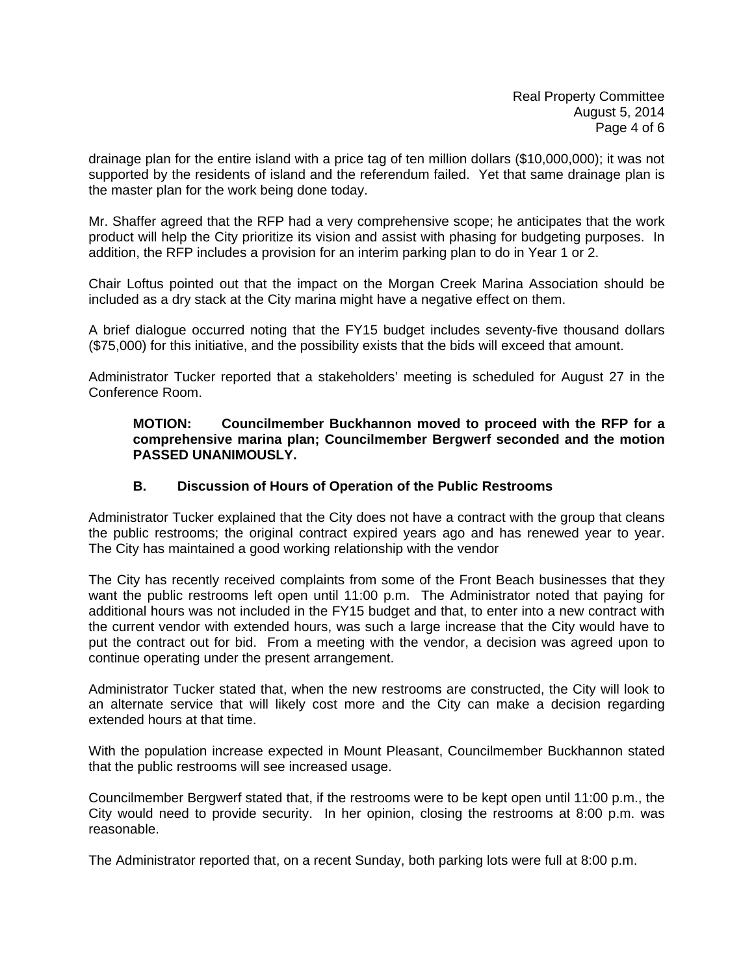drainage plan for the entire island with a price tag of ten million dollars (\$10,000,000); it was not supported by the residents of island and the referendum failed. Yet that same drainage plan is the master plan for the work being done today.

Mr. Shaffer agreed that the RFP had a very comprehensive scope; he anticipates that the work product will help the City prioritize its vision and assist with phasing for budgeting purposes. In addition, the RFP includes a provision for an interim parking plan to do in Year 1 or 2.

Chair Loftus pointed out that the impact on the Morgan Creek Marina Association should be included as a dry stack at the City marina might have a negative effect on them.

A brief dialogue occurred noting that the FY15 budget includes seventy-five thousand dollars (\$75,000) for this initiative, and the possibility exists that the bids will exceed that amount.

Administrator Tucker reported that a stakeholders' meeting is scheduled for August 27 in the Conference Room.

#### **MOTION: Councilmember Buckhannon moved to proceed with the RFP for a comprehensive marina plan; Councilmember Bergwerf seconded and the motion PASSED UNANIMOUSLY.**

### **B. Discussion of Hours of Operation of the Public Restrooms**

Administrator Tucker explained that the City does not have a contract with the group that cleans the public restrooms; the original contract expired years ago and has renewed year to year. The City has maintained a good working relationship with the vendor

The City has recently received complaints from some of the Front Beach businesses that they want the public restrooms left open until 11:00 p.m. The Administrator noted that paying for additional hours was not included in the FY15 budget and that, to enter into a new contract with the current vendor with extended hours, was such a large increase that the City would have to put the contract out for bid. From a meeting with the vendor, a decision was agreed upon to continue operating under the present arrangement.

Administrator Tucker stated that, when the new restrooms are constructed, the City will look to an alternate service that will likely cost more and the City can make a decision regarding extended hours at that time.

With the population increase expected in Mount Pleasant, Councilmember Buckhannon stated that the public restrooms will see increased usage.

Councilmember Bergwerf stated that, if the restrooms were to be kept open until 11:00 p.m., the City would need to provide security. In her opinion, closing the restrooms at 8:00 p.m. was reasonable.

The Administrator reported that, on a recent Sunday, both parking lots were full at 8:00 p.m.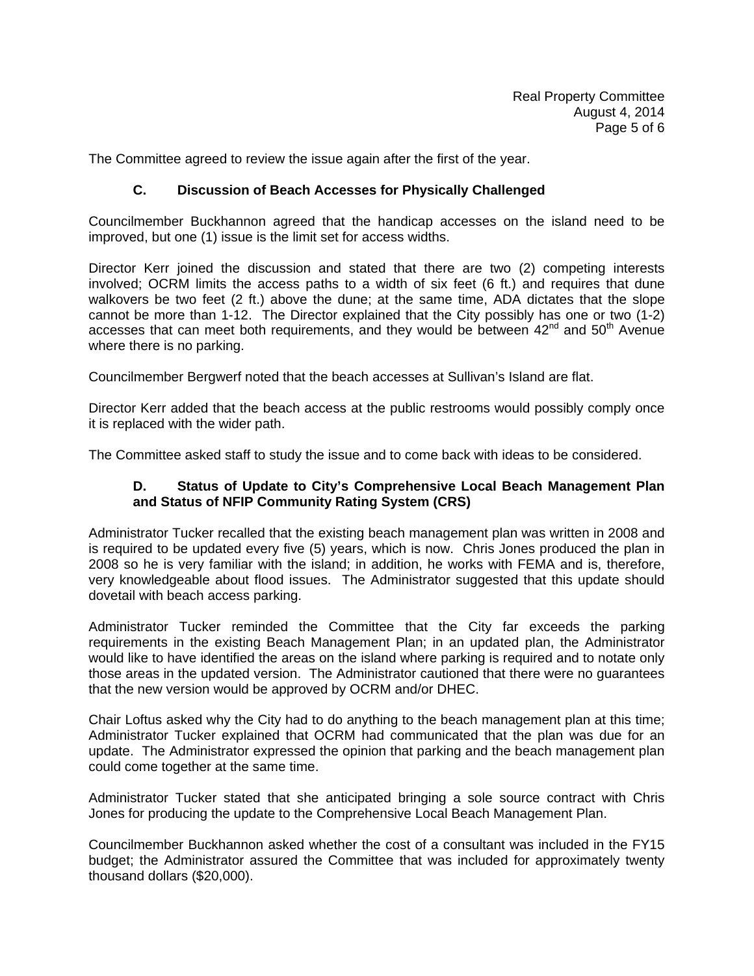The Committee agreed to review the issue again after the first of the year.

## **C. Discussion of Beach Accesses for Physically Challenged**

Councilmember Buckhannon agreed that the handicap accesses on the island need to be improved, but one (1) issue is the limit set for access widths.

Director Kerr joined the discussion and stated that there are two (2) competing interests involved; OCRM limits the access paths to a width of six feet (6 ft.) and requires that dune walkovers be two feet (2 ft.) above the dune; at the same time, ADA dictates that the slope cannot be more than 1-12. The Director explained that the City possibly has one or two (1-2) accesses that can meet both requirements, and they would be between  $42^{nd}$  and  $50^{th}$  Avenue where there is no parking.

Councilmember Bergwerf noted that the beach accesses at Sullivan's Island are flat.

Director Kerr added that the beach access at the public restrooms would possibly comply once it is replaced with the wider path.

The Committee asked staff to study the issue and to come back with ideas to be considered.

### **D. Status of Update to City's Comprehensive Local Beach Management Plan and Status of NFIP Community Rating System (CRS)**

Administrator Tucker recalled that the existing beach management plan was written in 2008 and is required to be updated every five (5) years, which is now. Chris Jones produced the plan in 2008 so he is very familiar with the island; in addition, he works with FEMA and is, therefore, very knowledgeable about flood issues. The Administrator suggested that this update should dovetail with beach access parking.

Administrator Tucker reminded the Committee that the City far exceeds the parking requirements in the existing Beach Management Plan; in an updated plan, the Administrator would like to have identified the areas on the island where parking is required and to notate only those areas in the updated version. The Administrator cautioned that there were no guarantees that the new version would be approved by OCRM and/or DHEC.

Chair Loftus asked why the City had to do anything to the beach management plan at this time; Administrator Tucker explained that OCRM had communicated that the plan was due for an update. The Administrator expressed the opinion that parking and the beach management plan could come together at the same time.

Administrator Tucker stated that she anticipated bringing a sole source contract with Chris Jones for producing the update to the Comprehensive Local Beach Management Plan.

Councilmember Buckhannon asked whether the cost of a consultant was included in the FY15 budget; the Administrator assured the Committee that was included for approximately twenty thousand dollars (\$20,000).